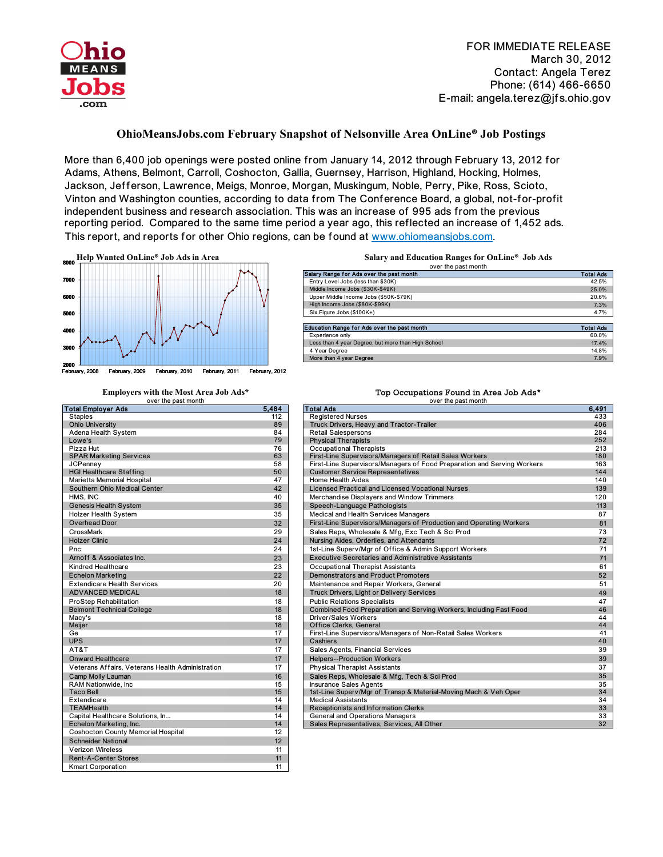

FOR IMMEDIATE RELEASE March 30, 2012 Contact: Angela Terez Phone: (614) 466-6650 E-mail: angela.terez@jfs.ohio.gov

## **OhioMeansJobs.com February Snapshot of Nelsonville Area OnLine® Job Postings**

More than 6,400 job openings were posted online from January 14, 2012 through February 13, 2012 for Adams, Athens, Belmont, Carroll, Coshocton, Gallia, Guernsey, Harrison, Highland, Hocking, Holmes, Jackson, Jefferson, Lawrence, Meigs, Monroe, Morgan, Muskingum, Noble, Perry, Pike, Ross, Scioto, Vinton and Washington counties, according to data from The Conference Board, a global, not-for-profit independent business and research association. This was an increase of 995 ads from the previous reporting period. Compared to the same time period a year ago, this reflected an increase of 1,452 ads. This report, and reports for other Ohio regions, can be found at www.ohiomeansjobs.com.



| 112<br><b>Staples</b><br><b>Ohio University</b><br>89<br>Truc<br>Adena Health System<br>84<br>Reta<br>79<br>Lowe's<br>Phy<br>Pizza Hut<br>76<br>Occ<br>63<br><b>SPAR Marketing Services</b><br>First<br>58<br><b>JCPenney</b><br><b>Firs</b><br>50<br><b>HGI Healthcare Staffing</b><br>Cus<br>47<br>Marietta Memorial Hospital<br>Hon<br>Southern Ohio Medical Center<br>42<br>Lice<br>HMS, INC<br>40<br>Mer<br><b>Genesis Health System</b><br>Spe<br>35<br>35<br>Med<br><b>Holzer Health System</b><br>Overhead Door<br><b>First</b><br>32<br>CrossMark<br>29<br>Sale<br><b>Holzer Clinic</b><br>24<br>Pnc<br>24<br>Arnoff & Associates Inc.<br>23<br>Kindred Healthcare<br>23<br><b>Echelon Marketing</b><br>22<br><b>Extendicare Health Services</b><br>20<br><b>ADVANCED MEDICAL</b><br>18<br>18<br><b>ProStep Rehabilitation</b><br><b>Belmont Technical College</b><br>18<br>18<br>Macy's<br><b>Meiler</b><br>18<br>17<br>Ge<br><b>UPS</b><br>17<br>AT&T<br>17<br>17<br><b>Onward Healthcare</b><br>17<br>Veterans Affairs, Veterans Health Administration<br>16<br>Camp Molly Lauman<br>RAM Nationwide, Inc.<br>15<br><b>Taco Bell</b><br>15<br>Extendicare<br>14<br><b>TEAMHealth</b><br>14<br>14<br>Capital Healthcare Solutions, In<br>14<br>Echelon Marketing, Inc.<br>Sale<br>12<br><b>Coshocton County Memorial Hospital</b><br><b>Schneider National</b><br>12<br><b>Verizon Wireless</b><br>11<br>11<br><b>Rent-A-Center Stores</b><br>11<br><b>Kmart Corporation</b> | over the past month       |       |              |
|----------------------------------------------------------------------------------------------------------------------------------------------------------------------------------------------------------------------------------------------------------------------------------------------------------------------------------------------------------------------------------------------------------------------------------------------------------------------------------------------------------------------------------------------------------------------------------------------------------------------------------------------------------------------------------------------------------------------------------------------------------------------------------------------------------------------------------------------------------------------------------------------------------------------------------------------------------------------------------------------------------------------------------------------------------------------------------------------------------------------------------------------------------------------------------------------------------------------------------------------------------------------------------------------------------------------------------------------------------------------------------------------------------------------------------------------------------------------------------------|---------------------------|-------|--------------|
|                                                                                                                                                                                                                                                                                                                                                                                                                                                                                                                                                                                                                                                                                                                                                                                                                                                                                                                                                                                                                                                                                                                                                                                                                                                                                                                                                                                                                                                                                        | <b>Total Employer Ads</b> | 5.484 | <b>Total</b> |
|                                                                                                                                                                                                                                                                                                                                                                                                                                                                                                                                                                                                                                                                                                                                                                                                                                                                                                                                                                                                                                                                                                                                                                                                                                                                                                                                                                                                                                                                                        |                           |       | Reg          |
|                                                                                                                                                                                                                                                                                                                                                                                                                                                                                                                                                                                                                                                                                                                                                                                                                                                                                                                                                                                                                                                                                                                                                                                                                                                                                                                                                                                                                                                                                        |                           |       |              |
|                                                                                                                                                                                                                                                                                                                                                                                                                                                                                                                                                                                                                                                                                                                                                                                                                                                                                                                                                                                                                                                                                                                                                                                                                                                                                                                                                                                                                                                                                        |                           |       |              |
|                                                                                                                                                                                                                                                                                                                                                                                                                                                                                                                                                                                                                                                                                                                                                                                                                                                                                                                                                                                                                                                                                                                                                                                                                                                                                                                                                                                                                                                                                        |                           |       |              |
|                                                                                                                                                                                                                                                                                                                                                                                                                                                                                                                                                                                                                                                                                                                                                                                                                                                                                                                                                                                                                                                                                                                                                                                                                                                                                                                                                                                                                                                                                        |                           |       |              |
|                                                                                                                                                                                                                                                                                                                                                                                                                                                                                                                                                                                                                                                                                                                                                                                                                                                                                                                                                                                                                                                                                                                                                                                                                                                                                                                                                                                                                                                                                        |                           |       |              |
|                                                                                                                                                                                                                                                                                                                                                                                                                                                                                                                                                                                                                                                                                                                                                                                                                                                                                                                                                                                                                                                                                                                                                                                                                                                                                                                                                                                                                                                                                        |                           |       |              |
|                                                                                                                                                                                                                                                                                                                                                                                                                                                                                                                                                                                                                                                                                                                                                                                                                                                                                                                                                                                                                                                                                                                                                                                                                                                                                                                                                                                                                                                                                        |                           |       |              |
|                                                                                                                                                                                                                                                                                                                                                                                                                                                                                                                                                                                                                                                                                                                                                                                                                                                                                                                                                                                                                                                                                                                                                                                                                                                                                                                                                                                                                                                                                        |                           |       |              |
|                                                                                                                                                                                                                                                                                                                                                                                                                                                                                                                                                                                                                                                                                                                                                                                                                                                                                                                                                                                                                                                                                                                                                                                                                                                                                                                                                                                                                                                                                        |                           |       |              |
|                                                                                                                                                                                                                                                                                                                                                                                                                                                                                                                                                                                                                                                                                                                                                                                                                                                                                                                                                                                                                                                                                                                                                                                                                                                                                                                                                                                                                                                                                        |                           |       |              |
|                                                                                                                                                                                                                                                                                                                                                                                                                                                                                                                                                                                                                                                                                                                                                                                                                                                                                                                                                                                                                                                                                                                                                                                                                                                                                                                                                                                                                                                                                        |                           |       |              |
|                                                                                                                                                                                                                                                                                                                                                                                                                                                                                                                                                                                                                                                                                                                                                                                                                                                                                                                                                                                                                                                                                                                                                                                                                                                                                                                                                                                                                                                                                        |                           |       |              |
|                                                                                                                                                                                                                                                                                                                                                                                                                                                                                                                                                                                                                                                                                                                                                                                                                                                                                                                                                                                                                                                                                                                                                                                                                                                                                                                                                                                                                                                                                        |                           |       |              |
|                                                                                                                                                                                                                                                                                                                                                                                                                                                                                                                                                                                                                                                                                                                                                                                                                                                                                                                                                                                                                                                                                                                                                                                                                                                                                                                                                                                                                                                                                        |                           |       |              |
|                                                                                                                                                                                                                                                                                                                                                                                                                                                                                                                                                                                                                                                                                                                                                                                                                                                                                                                                                                                                                                                                                                                                                                                                                                                                                                                                                                                                                                                                                        |                           |       | <b>Nurs</b>  |
|                                                                                                                                                                                                                                                                                                                                                                                                                                                                                                                                                                                                                                                                                                                                                                                                                                                                                                                                                                                                                                                                                                                                                                                                                                                                                                                                                                                                                                                                                        |                           |       | $1st-$       |
|                                                                                                                                                                                                                                                                                                                                                                                                                                                                                                                                                                                                                                                                                                                                                                                                                                                                                                                                                                                                                                                                                                                                                                                                                                                                                                                                                                                                                                                                                        |                           |       | Exe          |
|                                                                                                                                                                                                                                                                                                                                                                                                                                                                                                                                                                                                                                                                                                                                                                                                                                                                                                                                                                                                                                                                                                                                                                                                                                                                                                                                                                                                                                                                                        |                           |       | Occ          |
|                                                                                                                                                                                                                                                                                                                                                                                                                                                                                                                                                                                                                                                                                                                                                                                                                                                                                                                                                                                                                                                                                                                                                                                                                                                                                                                                                                                                                                                                                        |                           |       | Dem          |
|                                                                                                                                                                                                                                                                                                                                                                                                                                                                                                                                                                                                                                                                                                                                                                                                                                                                                                                                                                                                                                                                                                                                                                                                                                                                                                                                                                                                                                                                                        |                           |       | Mair         |
|                                                                                                                                                                                                                                                                                                                                                                                                                                                                                                                                                                                                                                                                                                                                                                                                                                                                                                                                                                                                                                                                                                                                                                                                                                                                                                                                                                                                                                                                                        |                           |       | Truo         |
|                                                                                                                                                                                                                                                                                                                                                                                                                                                                                                                                                                                                                                                                                                                                                                                                                                                                                                                                                                                                                                                                                                                                                                                                                                                                                                                                                                                                                                                                                        |                           |       | Pub          |
|                                                                                                                                                                                                                                                                                                                                                                                                                                                                                                                                                                                                                                                                                                                                                                                                                                                                                                                                                                                                                                                                                                                                                                                                                                                                                                                                                                                                                                                                                        |                           |       | Con          |
|                                                                                                                                                                                                                                                                                                                                                                                                                                                                                                                                                                                                                                                                                                                                                                                                                                                                                                                                                                                                                                                                                                                                                                                                                                                                                                                                                                                                                                                                                        |                           |       | Driv         |
|                                                                                                                                                                                                                                                                                                                                                                                                                                                                                                                                                                                                                                                                                                                                                                                                                                                                                                                                                                                                                                                                                                                                                                                                                                                                                                                                                                                                                                                                                        |                           |       | Offi         |
|                                                                                                                                                                                                                                                                                                                                                                                                                                                                                                                                                                                                                                                                                                                                                                                                                                                                                                                                                                                                                                                                                                                                                                                                                                                                                                                                                                                                                                                                                        |                           |       | <b>Firs</b>  |
|                                                                                                                                                                                                                                                                                                                                                                                                                                                                                                                                                                                                                                                                                                                                                                                                                                                                                                                                                                                                                                                                                                                                                                                                                                                                                                                                                                                                                                                                                        |                           |       | Cas          |
|                                                                                                                                                                                                                                                                                                                                                                                                                                                                                                                                                                                                                                                                                                                                                                                                                                                                                                                                                                                                                                                                                                                                                                                                                                                                                                                                                                                                                                                                                        |                           |       | Sale         |
|                                                                                                                                                                                                                                                                                                                                                                                                                                                                                                                                                                                                                                                                                                                                                                                                                                                                                                                                                                                                                                                                                                                                                                                                                                                                                                                                                                                                                                                                                        |                           |       | Help         |
|                                                                                                                                                                                                                                                                                                                                                                                                                                                                                                                                                                                                                                                                                                                                                                                                                                                                                                                                                                                                                                                                                                                                                                                                                                                                                                                                                                                                                                                                                        |                           |       | Phy          |
|                                                                                                                                                                                                                                                                                                                                                                                                                                                                                                                                                                                                                                                                                                                                                                                                                                                                                                                                                                                                                                                                                                                                                                                                                                                                                                                                                                                                                                                                                        |                           |       | Sale         |
|                                                                                                                                                                                                                                                                                                                                                                                                                                                                                                                                                                                                                                                                                                                                                                                                                                                                                                                                                                                                                                                                                                                                                                                                                                                                                                                                                                                                                                                                                        |                           |       | Insu         |
|                                                                                                                                                                                                                                                                                                                                                                                                                                                                                                                                                                                                                                                                                                                                                                                                                                                                                                                                                                                                                                                                                                                                                                                                                                                                                                                                                                                                                                                                                        |                           |       | $1st-$       |
|                                                                                                                                                                                                                                                                                                                                                                                                                                                                                                                                                                                                                                                                                                                                                                                                                                                                                                                                                                                                                                                                                                                                                                                                                                                                                                                                                                                                                                                                                        |                           |       | Med          |
|                                                                                                                                                                                                                                                                                                                                                                                                                                                                                                                                                                                                                                                                                                                                                                                                                                                                                                                                                                                                                                                                                                                                                                                                                                                                                                                                                                                                                                                                                        |                           |       | Rec          |
|                                                                                                                                                                                                                                                                                                                                                                                                                                                                                                                                                                                                                                                                                                                                                                                                                                                                                                                                                                                                                                                                                                                                                                                                                                                                                                                                                                                                                                                                                        |                           |       | Gen          |
|                                                                                                                                                                                                                                                                                                                                                                                                                                                                                                                                                                                                                                                                                                                                                                                                                                                                                                                                                                                                                                                                                                                                                                                                                                                                                                                                                                                                                                                                                        |                           |       |              |
|                                                                                                                                                                                                                                                                                                                                                                                                                                                                                                                                                                                                                                                                                                                                                                                                                                                                                                                                                                                                                                                                                                                                                                                                                                                                                                                                                                                                                                                                                        |                           |       |              |
|                                                                                                                                                                                                                                                                                                                                                                                                                                                                                                                                                                                                                                                                                                                                                                                                                                                                                                                                                                                                                                                                                                                                                                                                                                                                                                                                                                                                                                                                                        |                           |       |              |
|                                                                                                                                                                                                                                                                                                                                                                                                                                                                                                                                                                                                                                                                                                                                                                                                                                                                                                                                                                                                                                                                                                                                                                                                                                                                                                                                                                                                                                                                                        |                           |       |              |
|                                                                                                                                                                                                                                                                                                                                                                                                                                                                                                                                                                                                                                                                                                                                                                                                                                                                                                                                                                                                                                                                                                                                                                                                                                                                                                                                                                                                                                                                                        |                           |       |              |
|                                                                                                                                                                                                                                                                                                                                                                                                                                                                                                                                                                                                                                                                                                                                                                                                                                                                                                                                                                                                                                                                                                                                                                                                                                                                                                                                                                                                                                                                                        |                           |       |              |

| over the past month                                |                  |  |
|----------------------------------------------------|------------------|--|
| Salary Range for Ads over the past month           | <b>Total Ads</b> |  |
| Entry Level Jobs (less than \$30K)                 | 42.5%            |  |
| Middle Income Jobs (\$30K-\$49K)                   | 25.0%            |  |
| Upper Middle Income Jobs (\$50K-\$79K)             | 20.6%            |  |
| High Income Jobs (\$80K-\$99K)                     | 7.3%             |  |
| Six Figure Jobs (\$100K+)                          | 4.7%             |  |
|                                                    |                  |  |
| Education Range for Ads over the past month        | <b>Total Ads</b> |  |
| Experience only                                    | 60.0%            |  |
| Less than 4 year Degree, but more than High School | 17.4%            |  |
| 4 Year Degree                                      | 14.8%            |  |
| More than 4 year Degree                            | 7.9%             |  |

## **Employers with the Most Area Job Ads\*** Top Occupations Found in Area Job Ads\*

|                                                  |       | <b>OVEL LITE DASL INDITIAL</b>                                          |       |
|--------------------------------------------------|-------|-------------------------------------------------------------------------|-------|
| <b>Total Employer Ads</b>                        | 5,484 | <b>Total Ads</b>                                                        | 6,491 |
| <b>Staples</b>                                   | 112   | <b>Registered Nurses</b>                                                | 433   |
| <b>Ohio University</b>                           | 89    | Truck Drivers, Heavy and Tractor-Trailer                                | 406   |
| Adena Health System                              | 84    | <b>Retail Salespersons</b>                                              | 284   |
| Lowe's                                           | 79    | <b>Physical Therapists</b>                                              | 252   |
| Pizza Hut                                        | 76    | Occupational Therapists                                                 | 213   |
| <b>SPAR Marketing Services</b>                   | 63    | First-Line Supervisors/Managers of Retail Sales Workers                 | 180   |
| <b>JCPenney</b>                                  | 58    | First-Line Supervisors/Managers of Food Preparation and Serving Workers | 163   |
| <b>HGI Healthcare Staffing</b>                   | 50    | <b>Customer Service Representatives</b>                                 | 144   |
| Marietta Memorial Hospital                       | 47    | <b>Home Health Aides</b>                                                | 140   |
| Southern Ohio Medical Center                     | 42    | <b>Licensed Practical and Licensed Vocational Nurses</b>                | 139   |
| HMS, INC                                         | 40    | Merchandise Displayers and Window Trimmers                              | 120   |
| <b>Genesis Health System</b>                     | 35    | Speech-Language Pathologists                                            | 113   |
| <b>Holzer Health System</b>                      | 35    | Medical and Health Services Managers                                    | 87    |
| <b>Overhead Door</b>                             | 32    | First-Line Supervisors/Managers of Production and Operating Workers     | 81    |
| CrossMark                                        | 29    | Sales Reps, Wholesale & Mfg, Exc Tech & Sci Prod                        | 73    |
| <b>Holzer Clinic</b>                             | 24    | Nursing Aides, Orderlies, and Attendants                                | 72    |
| Pnc                                              | 24    | 1st-Line Superv/Mgr of Office & Admin Support Workers                   | 71    |
| Arnoff & Associates Inc.                         | 23    | <b>Executive Secretaries and Administrative Assistants</b>              | 71    |
| <b>Kindred Healthcare</b>                        | 23    | <b>Occupational Therapist Assistants</b>                                | 61    |
| <b>Echelon Marketing</b>                         | 22    | <b>Demonstrators and Product Promoters</b>                              | 52    |
| <b>Extendicare Health Services</b>               | 20    | Maintenance and Repair Workers, General                                 | 51    |
| <b>ADVANCED MEDICAL</b>                          | 18    | <b>Truck Drivers, Light or Delivery Services</b>                        | 49    |
| ProStep Rehabilitation                           | 18    | <b>Public Relations Specialists</b>                                     | 47    |
| <b>Belmont Technical College</b>                 | 18    | Combined Food Preparation and Serving Workers, Including Fast Food      | 46    |
| Macy's                                           | 18    | Driver/Sales Workers                                                    | 44    |
| Meijer                                           | 18    | Office Clerks, General                                                  | 44    |
| Ge                                               | 17    | First-Line Supervisors/Managers of Non-Retail Sales Workers             | 41    |
| <b>UPS</b>                                       | 17    | Cashiers                                                                | 40    |
| AT&T                                             | 17    | Sales Agents, Financial Services                                        | 39    |
| <b>Onward Healthcare</b>                         | 17    | <b>Helpers--Production Workers</b>                                      | 39    |
| Veterans Affairs, Veterans Health Administration | 17    | <b>Physical Therapist Assistants</b>                                    | 37    |
| Camp Molly Lauman                                | 16    | Sales Reps, Wholesale & Mfg, Tech & Sci Prod                            | 35    |
| RAM Nationwide, Inc.                             | 15    | <b>Insurance Sales Agents</b>                                           | 35    |
| <b>Taco Bell</b>                                 | 15    | 1st-Line Superv/Mgr of Transp & Material-Moving Mach & Veh Oper         | 34    |
| Extendicare                                      | 14    | <b>Medical Assistants</b>                                               | 34    |
| <b>TEAMHealth</b>                                | 14    | Receptionists and Information Clerks                                    | 33    |
| Capital Healthcare Solutions, In                 | 14    | <b>General and Operations Managers</b>                                  | 33    |
| Echelon Marketing, Inc.                          | 14    | Sales Representatives, Services, All Other                              | 32    |